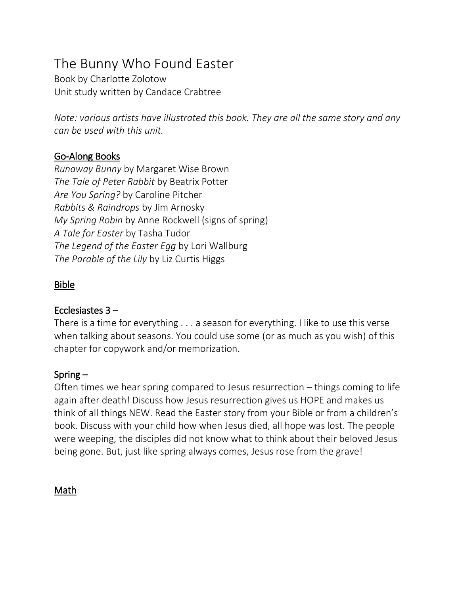# The Bunny Who Found Easter

Book by Charlotte Zolotow Unit study written by Candace Crabtree

*Note: various artists have illustrated this book. They are all the same story and any can be used with this unit.* 

### Go-Along Books

*Runaway Bunny* by Margaret Wise Brown *The Tale of Peter Rabbit* by Beatrix Potter *Are You Spring?* by Caroline Pitcher *Rabbits & Raindrops* by Jim Arnosky *My Spring Robin* by Anne Rockwell (signs of spring) *A Tale for Easter* by Tasha Tudor *The Legend of the Easter Egg* by Lori Wallburg *The Parable of the Lily* by Liz Curtis Higgs

## Bible

#### Ecclesiastes 3 –

There is a time for everything . . . a season for everything. I like to use this verse when talking about seasons. You could use some (or as much as you wish) of this chapter for copywork and/or memorization.

### Spring –

Often times we hear spring compared to Jesus resurrection – things coming to life again after death! Discuss how Jesus resurrection gives us HOPE and makes us think of all things NEW. Read the Easter story from your Bible or from a children's book. Discuss with your child how when Jesus died, all hope was lost. The people were weeping, the disciples did not know what to think about their beloved Jesus being gone. But, just like spring always comes, Jesus rose from the grave!

Math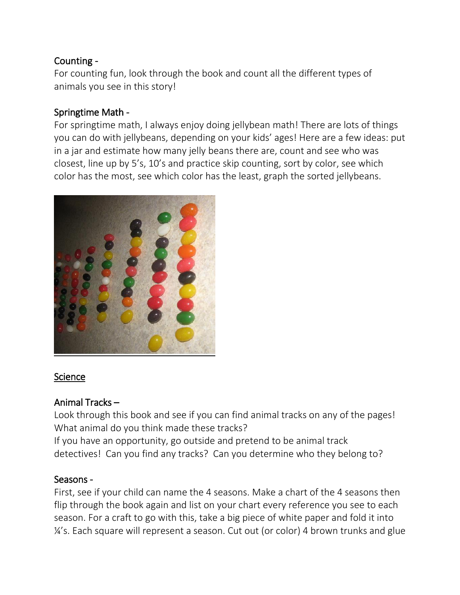## Counting -

For counting fun, look through the book and count all the different types of animals you see in this story!

#### Springtime Math -

For springtime math, I always enjoy doing jellybean math! There are lots of things you can do with jellybeans, depending on your kids' ages! Here are a few ideas: put in a jar and estimate how many jelly beans there are, count and see who was closest, line up by 5's, 10's and practice skip counting, sort by color, see which color has the most, see which color has the least, graph the sorted jellybeans.



### Science

### Animal Tracks –

Look through this book and see if you can find animal tracks on any of the pages! What animal do you think made these tracks?

If you have an opportunity, go outside and pretend to be animal track detectives! Can you find any tracks? Can you determine who they belong to?

### Seasons -

First, see if your child can name the 4 seasons. Make a chart of the 4 seasons then flip through the book again and list on your chart every reference you see to each season. For a craft to go with this, take a big piece of white paper and fold it into ¼'s. Each square will represent a season. Cut out (or color) 4 brown trunks and glue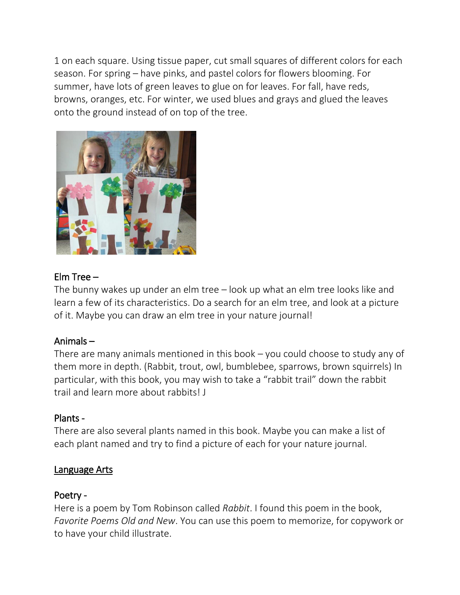1 on each square. Using tissue paper, cut small squares of different colors for each season. For spring – have pinks, and pastel colors for flowers blooming. For summer, have lots of green leaves to glue on for leaves. For fall, have reds, browns, oranges, etc. For winter, we used blues and grays and glued the leaves onto the ground instead of on top of the tree.



### Elm Tree –

The bunny wakes up under an elm tree – look up what an elm tree looks like and learn a few of its characteristics. Do a search for an elm tree, and look at a picture of it. Maybe you can draw an elm tree in your nature journal!

### Animals –

There are many animals mentioned in this book – you could choose to study any of them more in depth. (Rabbit, trout, owl, bumblebee, sparrows, brown squirrels) In particular, with this book, you may wish to take a "rabbit trail" down the rabbit trail and learn more about rabbits! J

# Plants -

There are also several plants named in this book. Maybe you can make a list of each plant named and try to find a picture of each for your nature journal.

### Language Arts

### Poetry -

Here is a poem by Tom Robinson called *Rabbit*. I found this poem in the book, *Favorite Poems Old and New*. You can use this poem to memorize, for copywork or to have your child illustrate.